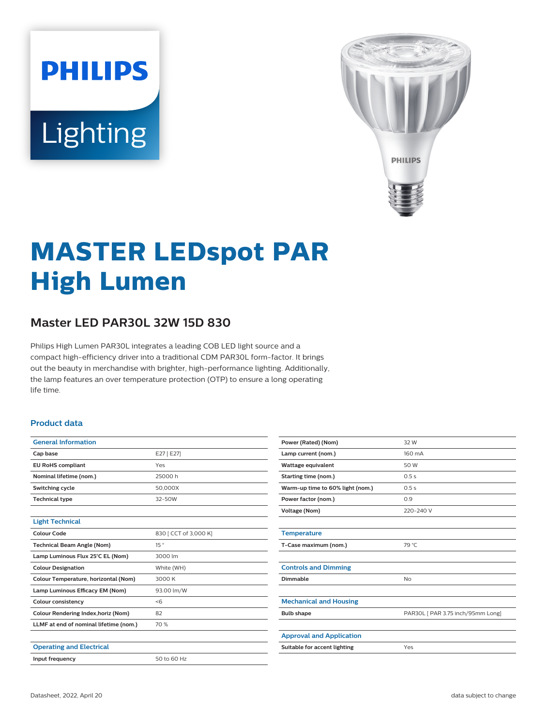# **PHILIPS** Lighting



# **MASTER LEDspot PAR High Lumen**

# **Master LED PAR30L 32W 15D 830**

Philips High Lumen PAR30L integrates a leading COB LED light source and a compact high-efficiency driver into a traditional CDM PAR30L form-factor. It brings out the beauty in merchandise with brighter, high-performance lighting. Additionally, the lamp features an over temperature protection (OTP) to ensure a long operating life time.

#### **Product data**

| <b>General Information</b>             |                       |
|----------------------------------------|-----------------------|
| Cap base                               | E27 [E27]             |
| <b>EU RoHS compliant</b>               | Yes                   |
| Nominal lifetime (nom.)                | 25000 h               |
| Switching cycle                        | 50.000X               |
| <b>Technical type</b>                  | 32-50W                |
|                                        |                       |
| <b>Light Technical</b>                 |                       |
| Colour Code                            | 830   CCT of 3,000 K] |
| <b>Technical Beam Angle (Nom)</b>      | 15°                   |
| Lamp Luminous Flux 25°C EL (Nom)       | 3000 lm               |
| <b>Colour Designation</b>              | White (WH)            |
| Colour Temperature, horizontal (Nom)   | 3000 K                |
| Lamp Luminous Efficacy EM (Nom)        | 93.00 lm/W            |
| <b>Colour consistency</b>              | < 6                   |
| Colour Rendering Index, horiz (Nom)    | 82                    |
| LLMF at end of nominal lifetime (nom.) | 70 %                  |
|                                        |                       |
| <b>Operating and Electrical</b>        |                       |
| Input frequency                        | 50 to 60 Hz           |
|                                        |                       |

| Power (Rated) (Nom)              | 32 W                              |
|----------------------------------|-----------------------------------|
|                                  |                                   |
| Lamp current (nom.)              | 160 mA                            |
| Wattage equivalent               | 50 W                              |
| Starting time (nom.)             | 0.5s                              |
| Warm-up time to 60% light (nom.) | 0.5s                              |
| Power factor (nom.)              | 0.9                               |
| <b>Voltage (Nom)</b>             | 220-240 V                         |
|                                  |                                   |
| <b>Temperature</b>               |                                   |
| T-Case maximum (nom.)            | 79 °C                             |
|                                  |                                   |
| <b>Controls and Dimming</b>      |                                   |
| Dimmable                         | <b>No</b>                         |
|                                  |                                   |
| <b>Mechanical and Housing</b>    |                                   |
| <b>Bulb shape</b>                | PAR30L [ PAR 3.75 inch/95mm Long] |
|                                  |                                   |
| <b>Approval and Application</b>  |                                   |
| Suitable for accent lighting     | Yes                               |
|                                  |                                   |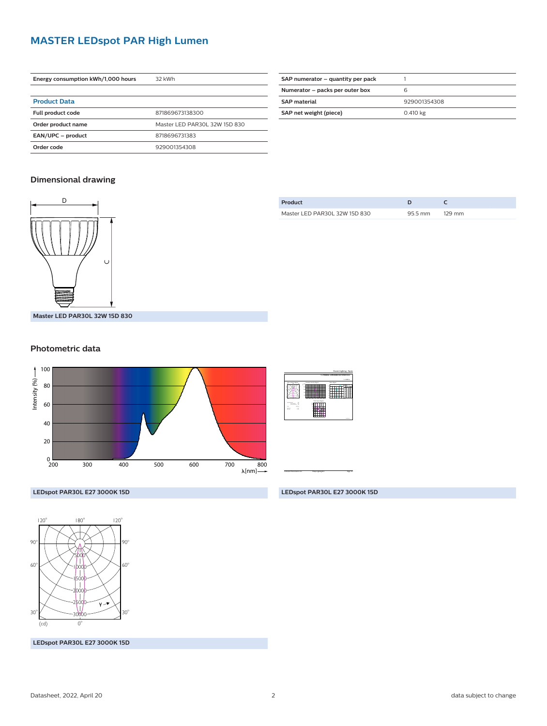### **MASTER LEDspot PAR High Lumen**

| Energy consumption kWh/1,000 hours | 32 kWh                        |
|------------------------------------|-------------------------------|
|                                    |                               |
| <b>Product Data</b>                |                               |
| Full product code                  | 871869673138300               |
| Order product name                 | Master LED PAR30L 32W 15D 830 |
| EAN/UPC - product                  | 8718696731383                 |
| Order code                         | 929001354308                  |

| SAP numerator – quantity per pack |              |
|-----------------------------------|--------------|
| Numerator - packs per outer box   | ь            |
| <b>SAP</b> material               | 929001354308 |
| SAP net weight (piece)            | 0.410 kg     |
|                                   |              |

#### **Dimensional drawing**



**Product D C** Master LED PAR30L 32W 15D 830 95.5 mm 129 mm

**Master LED PAR30L 32W 15D 830**

#### **Photometric data**





Accent Lighting - Spots

**LEDspot PAR30L E27 3000K 15D**



**LEDspot PAR30L E27 3000K 15D**

**LEDspot PAR30L E27 3000K 15D**

CalcuLuX Photometrics 4.5 Philips Lighting B.V. Page: 17 Page: 1/1